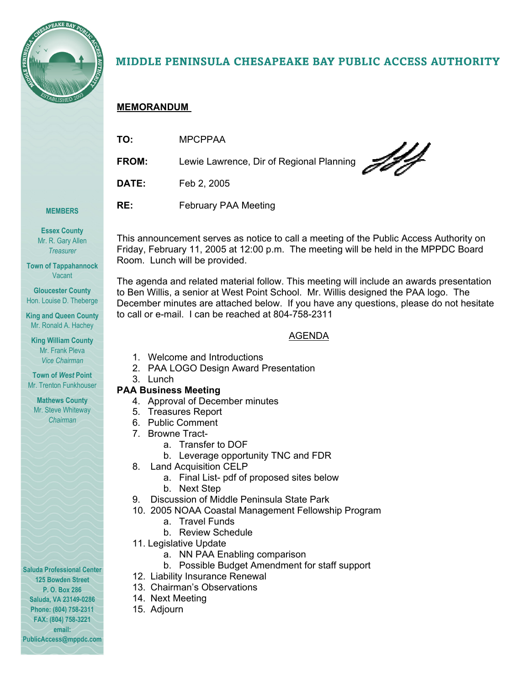

# MIDDLE PENINSULA CHESAPEAKE BAY PUBLIC ACCESS AUTHORITY

# **MEMORANDUM**

| TO:   | <b>MPCPPAA</b>                           |
|-------|------------------------------------------|
| FROM: | Lewie Lawrence, Dir of Regional Planning |
| DATE: | Feb 2, 2005                              |
| RE:   | February PAA Meeting                     |

#### **MEMBERS**

**Essex County**  Mr. R. Gary Allen *Treasurer* 

**Town of Tappahannock**  Vacant

**Gloucester County**  Hon. Louise D. Theberge

**King and Queen County**  Mr. Ronald A. Hachey

**King William County**  Mr. Frank Pleva *Vice Chairman* 

**Town of** *West* **Point**  Mr. Trenton Funkhouser

**Mathews County**  Mr. Steve Whiteway *Chairman* 

**Saluda Professional Center 125 Bowden Street P. O. Box 286 Saluda, VA 23149-0286 Phone: (804) 758-2311 FAX: (804) 758-3221 email: PublicAccess@mppdc.com** 

This announcement serves as notice to call a meeting of the Public Access Authority on Friday, February 11, 2005 at 12:00 p.m. The meeting will be held in the MPPDC Board Room. Lunch will be provided.

The agenda and related material follow. This meeting will include an awards presentation to Ben Willis, a senior at West Point School. Mr. Willis designed the PAA logo. The December minutes are attached below. If you have any questions, please do not hesitate to call or e-mail. I can be reached at 804-758-2311

# AGENDA

- 1. Welcome and Introductions
- 2. PAA LOGO Design Award Presentation
- 3. Lunch

# **PAA Business Meeting**

- 4. Approval of December minutes
- 5. Treasures Report
- 6. Public Comment
- 7. Browne Tract
	- a. Transfer to DOF
	- b. Leverage opportunity TNC and FDR
- 8. Land Acquisition CELP
	- a. Final List- pdf of proposed sites below
	- b. Next Step
- 9. Discussion of Middle Peninsula State Park
- 10. 2005 NOAA Coastal Management Fellowship Program
	- a. Travel Funds
	- b. Review Schedule
- 11. Legislative Update
	- a. NN PAA Enabling comparison
	- b. Possible Budget Amendment for staff support
- 12. Liability Insurance Renewal
- 13. Chairman's Observations
- 14. Next Meeting
- 15. Adjourn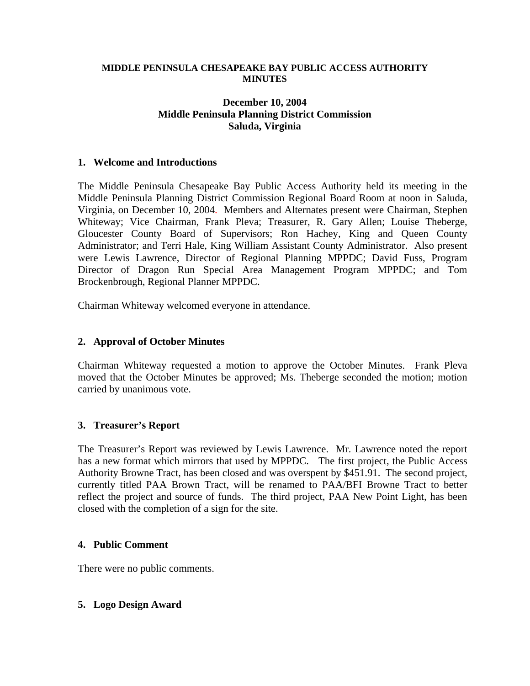#### **MIDDLE PENINSULA CHESAPEAKE BAY PUBLIC ACCESS AUTHORITY MINUTES**

# **December 10, 2004 Middle Peninsula Planning District Commission Saluda, Virginia**

### **1. Welcome and Introductions**

The Middle Peninsula Chesapeake Bay Public Access Authority held its meeting in the Middle Peninsula Planning District Commission Regional Board Room at noon in Saluda, Virginia, on December 10, 2004. Members and Alternates present were Chairman, Stephen Whiteway; Vice Chairman, Frank Pleva; Treasurer, R. Gary Allen; Louise Theberge, Gloucester County Board of Supervisors; Ron Hachey, King and Queen County Administrator; and Terri Hale, King William Assistant County Administrator. Also present were Lewis Lawrence, Director of Regional Planning MPPDC; David Fuss, Program Director of Dragon Run Special Area Management Program MPPDC; and Tom Brockenbrough, Regional Planner MPPDC.

Chairman Whiteway welcomed everyone in attendance.

### **2. Approval of October Minutes**

Chairman Whiteway requested a motion to approve the October Minutes. Frank Pleva moved that the October Minutes be approved; Ms. Theberge seconded the motion; motion carried by unanimous vote.

## **3. Treasurer's Report**

The Treasurer's Report was reviewed by Lewis Lawrence. Mr. Lawrence noted the report has a new format which mirrors that used by MPPDC. The first project, the Public Access Authority Browne Tract, has been closed and was overspent by \$451.91. The second project, currently titled PAA Brown Tract, will be renamed to PAA/BFI Browne Tract to better reflect the project and source of funds. The third project, PAA New Point Light, has been closed with the completion of a sign for the site.

#### **4. Public Comment**

There were no public comments.

#### **5. Logo Design Award**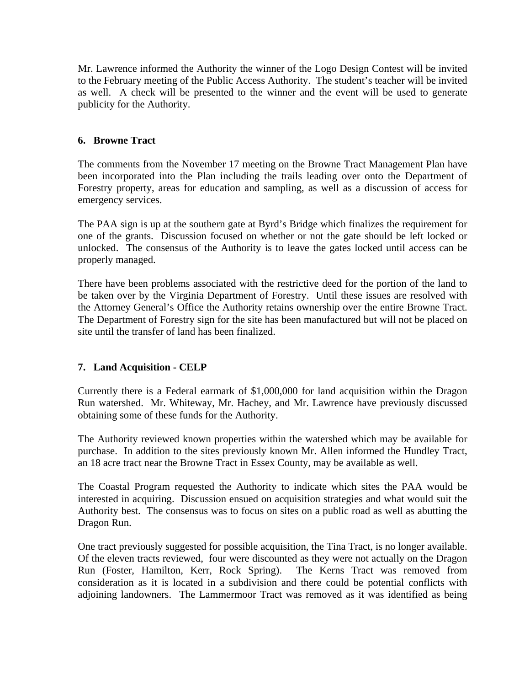Mr. Lawrence informed the Authority the winner of the Logo Design Contest will be invited to the February meeting of the Public Access Authority. The student's teacher will be invited as well. A check will be presented to the winner and the event will be used to generate publicity for the Authority.

# **6. Browne Tract**

The comments from the November 17 meeting on the Browne Tract Management Plan have been incorporated into the Plan including the trails leading over onto the Department of Forestry property, areas for education and sampling, as well as a discussion of access for emergency services.

The PAA sign is up at the southern gate at Byrd's Bridge which finalizes the requirement for one of the grants. Discussion focused on whether or not the gate should be left locked or unlocked. The consensus of the Authority is to leave the gates locked until access can be properly managed.

There have been problems associated with the restrictive deed for the portion of the land to be taken over by the Virginia Department of Forestry. Until these issues are resolved with the Attorney General's Office the Authority retains ownership over the entire Browne Tract. The Department of Forestry sign for the site has been manufactured but will not be placed on site until the transfer of land has been finalized.

# **7. Land Acquisition - CELP**

Currently there is a Federal earmark of \$1,000,000 for land acquisition within the Dragon Run watershed. Mr. Whiteway, Mr. Hachey, and Mr. Lawrence have previously discussed obtaining some of these funds for the Authority.

The Authority reviewed known properties within the watershed which may be available for purchase. In addition to the sites previously known Mr. Allen informed the Hundley Tract, an 18 acre tract near the Browne Tract in Essex County, may be available as well.

The Coastal Program requested the Authority to indicate which sites the PAA would be interested in acquiring. Discussion ensued on acquisition strategies and what would suit the Authority best. The consensus was to focus on sites on a public road as well as abutting the Dragon Run.

One tract previously suggested for possible acquisition, the Tina Tract, is no longer available. Of the eleven tracts reviewed, four were discounted as they were not actually on the Dragon Run (Foster, Hamilton, Kerr, Rock Spring). The Kerns Tract was removed from consideration as it is located in a subdivision and there could be potential conflicts with adjoining landowners. The Lammermoor Tract was removed as it was identified as being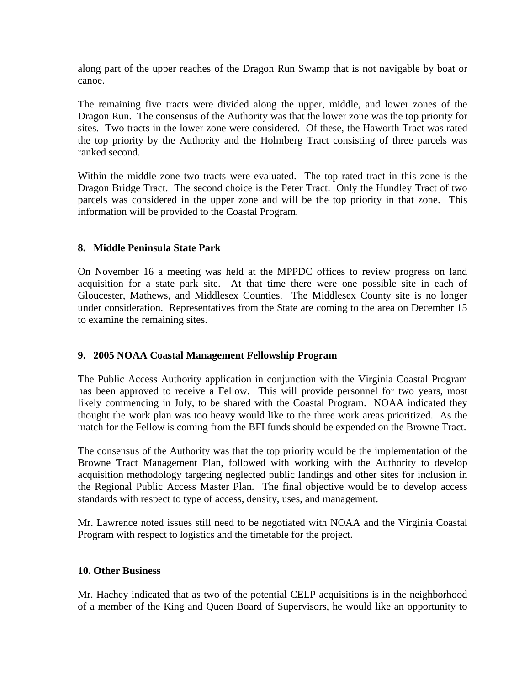along part of the upper reaches of the Dragon Run Swamp that is not navigable by boat or canoe.

The remaining five tracts were divided along the upper, middle, and lower zones of the Dragon Run. The consensus of the Authority was that the lower zone was the top priority for sites. Two tracts in the lower zone were considered. Of these, the Haworth Tract was rated the top priority by the Authority and the Holmberg Tract consisting of three parcels was ranked second.

Within the middle zone two tracts were evaluated. The top rated tract in this zone is the Dragon Bridge Tract. The second choice is the Peter Tract. Only the Hundley Tract of two parcels was considered in the upper zone and will be the top priority in that zone. This information will be provided to the Coastal Program.

# **8. Middle Peninsula State Park**

On November 16 a meeting was held at the MPPDC offices to review progress on land acquisition for a state park site. At that time there were one possible site in each of Gloucester, Mathews, and Middlesex Counties. The Middlesex County site is no longer under consideration. Representatives from the State are coming to the area on December 15 to examine the remaining sites.

## **9. 2005 NOAA Coastal Management Fellowship Program**

The Public Access Authority application in conjunction with the Virginia Coastal Program has been approved to receive a Fellow. This will provide personnel for two years, most likely commencing in July, to be shared with the Coastal Program. NOAA indicated they thought the work plan was too heavy would like to the three work areas prioritized. As the match for the Fellow is coming from the BFI funds should be expended on the Browne Tract.

The consensus of the Authority was that the top priority would be the implementation of the Browne Tract Management Plan, followed with working with the Authority to develop acquisition methodology targeting neglected public landings and other sites for inclusion in the Regional Public Access Master Plan. The final objective would be to develop access standards with respect to type of access, density, uses, and management.

Mr. Lawrence noted issues still need to be negotiated with NOAA and the Virginia Coastal Program with respect to logistics and the timetable for the project.

## **10. Other Business**

Mr. Hachey indicated that as two of the potential CELP acquisitions is in the neighborhood of a member of the King and Queen Board of Supervisors, he would like an opportunity to